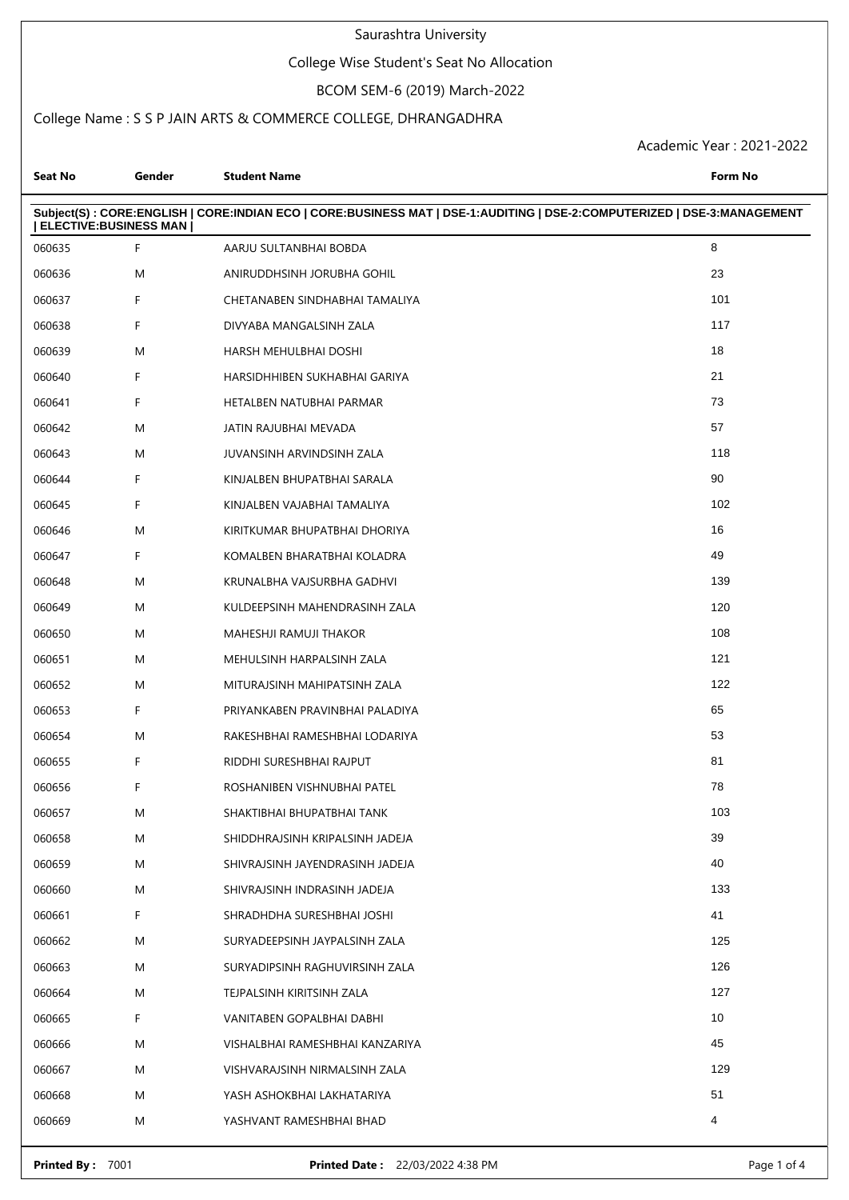## College Wise Student's Seat No Allocation

# BCOM SEM-6 (2019) March-2022

## College Name : S S P JAIN ARTS & COMMERCE COLLEGE, DHRANGADHRA

Academic Year : 2021-2022

| Seat No                | Gender | <b>Student Name</b>                                                                                                     | <b>Form No</b>  |
|------------------------|--------|-------------------------------------------------------------------------------------------------------------------------|-----------------|
| ELECTIVE: BUSINESS MAN |        | Subject(S): CORE:ENGLISH   CORE:INDIAN ECO   CORE:BUSINESS MAT   DSE-1:AUDITING   DSE-2:COMPUTERIZED   DSE-3:MANAGEMENT |                 |
| 060635                 | F      | AARJU SULTANBHAI BOBDA                                                                                                  | 8               |
| 060636                 | M      | ANIRUDDHSINH JORUBHA GOHIL                                                                                              | 23              |
| 060637                 | F.     | CHETANABEN SINDHABHAI TAMALIYA                                                                                          | 101             |
| 060638                 | F.     | DIVYABA MANGALSINH ZALA                                                                                                 | 117             |
| 060639                 | M      | HARSH MEHULBHAI DOSHI                                                                                                   | 18              |
| 060640                 | F.     | HARSIDHHIBEN SUKHABHAI GARIYA                                                                                           | 21              |
| 060641                 | F.     | HETALBEN NATUBHAI PARMAR                                                                                                | 73              |
| 060642                 | M      | JATIN RAJUBHAI MEVADA                                                                                                   | 57              |
| 060643                 | M      | JUVANSINH ARVINDSINH ZALA                                                                                               | 118             |
| 060644                 | F.     | KINJALBEN BHUPATBHAI SARALA                                                                                             | 90              |
| 060645                 | F.     | KINJALBEN VAJABHAI TAMALIYA                                                                                             | 102             |
| 060646                 | M      | KIRITKUMAR BHUPATBHAI DHORIYA                                                                                           | 16              |
| 060647                 | F.     | KOMALBEN BHARATBHAI KOLADRA                                                                                             | 49              |
| 060648                 | M      | KRUNALBHA VAJSURBHA GADHVI                                                                                              | 139             |
| 060649                 | M      | KULDEEPSINH MAHENDRASINH ZALA                                                                                           | 120             |
| 060650                 | M      | MAHESHJI RAMUJI THAKOR                                                                                                  | 108             |
| 060651                 | M      | MEHULSINH HARPALSINH ZALA                                                                                               | 121             |
| 060652                 | M      | MITURAJSINH MAHIPATSINH ZALA                                                                                            | 122             |
| 060653                 | F.     | PRIYANKABEN PRAVINBHAI PALADIYA                                                                                         | 65              |
| 060654                 | M      | RAKESHBHAI RAMESHBHAI LODARIYA                                                                                          | 53              |
| 060655                 | F.     | RIDDHI SURESHBHAI RAJPUT                                                                                                | 81              |
| 060656                 | F      | ROSHANIBEN VISHNUBHAI PATEL                                                                                             | 78              |
| 060657                 | M      | SHAKTIBHAI BHUPATBHAI TANK                                                                                              | 103             |
| 060658                 | M      | SHIDDHRAJSINH KRIPALSINH JADEJA                                                                                         | 39              |
| 060659                 | M      | SHIVRAJSINH JAYENDRASINH JADEJA                                                                                         | 40              |
| 060660                 | M      | SHIVRAJSINH INDRASINH JADEJA                                                                                            | 133             |
| 060661                 | F      | SHRADHDHA SURESHBHAI JOSHI                                                                                              | 41              |
| 060662                 | M      | SURYADEEPSINH JAYPALSINH ZALA                                                                                           | 125             |
| 060663                 | M      | SURYADIPSINH RAGHUVIRSINH ZALA                                                                                          | 126             |
| 060664                 | M      | TEJPALSINH KIRITSINH ZALA                                                                                               | 127             |
| 060665                 | F      | VANITABEN GOPALBHAI DABHI                                                                                               | 10 <sup>1</sup> |
| 060666                 | M      | VISHALBHAI RAMESHBHAI KANZARIYA                                                                                         | 45              |
| 060667                 | M      | VISHVARAJSINH NIRMALSINH ZALA                                                                                           | 129             |
| 060668                 | M      | YASH ASHOKBHAI LAKHATARIYA                                                                                              | 51              |
| 060669                 | M      | YASHVANT RAMESHBHAI BHAD                                                                                                | 4               |
|                        |        |                                                                                                                         |                 |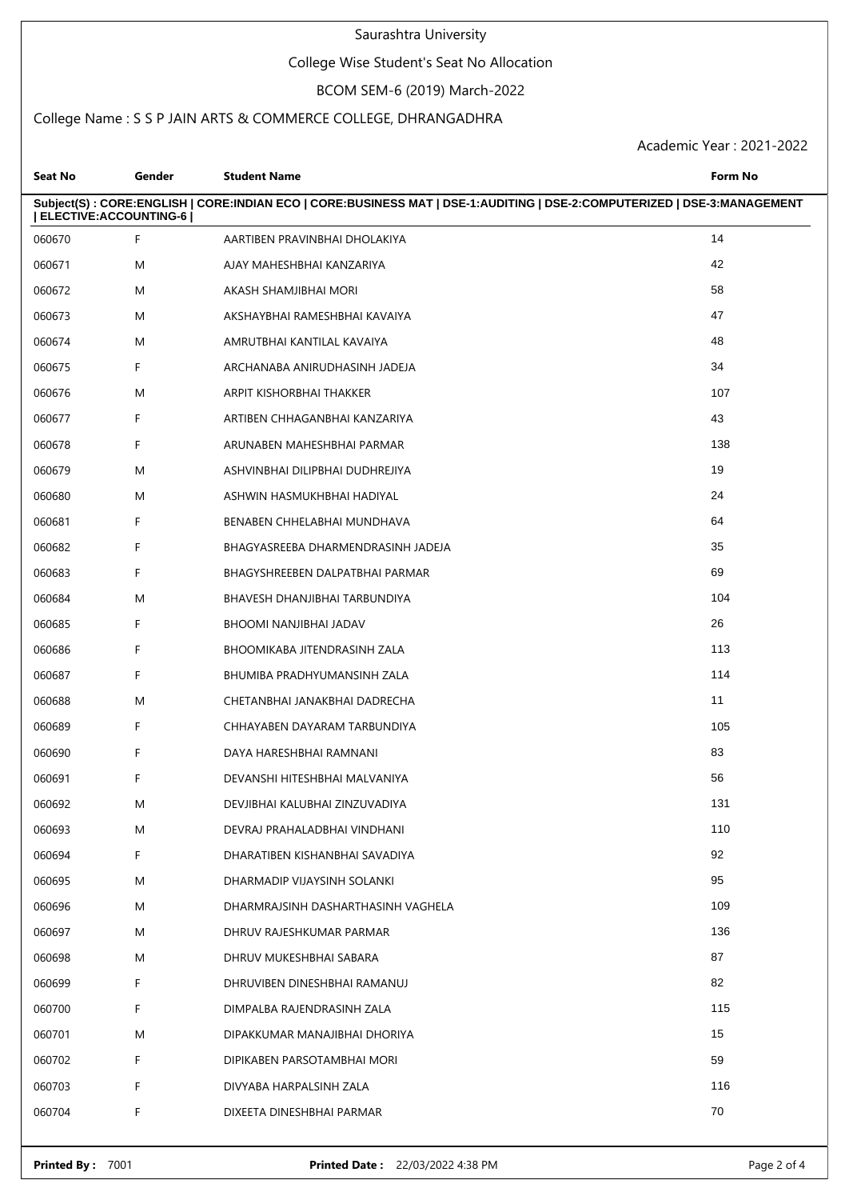## College Wise Student's Seat No Allocation

# BCOM SEM-6 (2019) March-2022

## College Name : S S P JAIN ARTS & COMMERCE COLLEGE, DHRANGADHRA

Academic Year : 2021-2022

| <b>Seat No</b>        | Gender | <b>Student Name</b>                                                                                                     | Form No |
|-----------------------|--------|-------------------------------------------------------------------------------------------------------------------------|---------|
| ELECTIVE:ACCOUNTING-6 |        | Subject(S): CORE:ENGLISH   CORE:INDIAN ECO   CORE:BUSINESS MAT   DSE-1:AUDITING   DSE-2:COMPUTERIZED   DSE-3:MANAGEMENT |         |
| 060670                | F.     | AARTIBEN PRAVINBHAI DHOLAKIYA                                                                                           | 14      |
| 060671                | M      | AJAY MAHESHBHAI KANZARIYA                                                                                               | 42      |
| 060672                | M      | AKASH SHAMJIBHAI MORI                                                                                                   | 58      |
| 060673                | M      | AKSHAYBHAI RAMESHBHAI KAVAIYA                                                                                           | 47      |
| 060674                | M      | AMRUTBHAI KANTILAL KAVAIYA                                                                                              | 48      |
| 060675                | F.     | ARCHANABA ANIRUDHASINH JADEJA                                                                                           | 34      |
| 060676                | M      | ARPIT KISHORBHAI THAKKER                                                                                                | 107     |
| 060677                | F      | ARTIBEN CHHAGANBHAI KANZARIYA                                                                                           | 43      |
| 060678                | F.     | ARUNABEN MAHESHBHAI PARMAR                                                                                              | 138     |
| 060679                | M      | ASHVINBHAI DILIPBHAI DUDHREJIYA                                                                                         | 19      |
| 060680                | M      | ASHWIN HASMUKHBHAI HADIYAL                                                                                              | 24      |
| 060681                | F      | BENABEN CHHELABHAI MUNDHAVA                                                                                             | 64      |
| 060682                | F.     | BHAGYASREEBA DHARMENDRASINH JADEJA                                                                                      | 35      |
| 060683                | F.     | BHAGYSHREEBEN DALPATBHAI PARMAR                                                                                         | 69      |
| 060684                | M      | BHAVESH DHANJIBHAI TARBUNDIYA                                                                                           | 104     |
| 060685                | F      | BHOOMI NANJIBHAI JADAV                                                                                                  | 26      |
| 060686                | F.     | BHOOMIKABA JITENDRASINH ZALA                                                                                            | 113     |
| 060687                | F      | BHUMIBA PRADHYUMANSINH ZALA                                                                                             | 114     |
| 060688                | M      | CHETANBHAI JANAKBHAI DADRECHA                                                                                           | 11      |
| 060689                | F.     | CHHAYABEN DAYARAM TARBUNDIYA                                                                                            | 105     |
| 060690                | F.     | DAYA HARESHBHAI RAMNANI                                                                                                 | 83      |
| 060691                | F      | DEVANSHI HITESHBHAI MALVANIYA                                                                                           | 56      |
| 060692                | M      | DEVJIBHAI KALUBHAI ZINZUVADIYA                                                                                          | 131     |
| 060693                | M      | DEVRAJ PRAHALADBHAI VINDHANI                                                                                            | 110     |
| 060694                | F.     | DHARATIBEN KISHANBHAI SAVADIYA                                                                                          | 92      |
| 060695                | M      | DHARMADIP VIJAYSINH SOLANKI                                                                                             | 95      |
| 060696                | M      | DHARMRAJSINH DASHARTHASINH VAGHELA                                                                                      | 109     |
| 060697                | M      | DHRUV RAJESHKUMAR PARMAR                                                                                                | 136     |
| 060698                | M      | DHRUV MUKESHBHAI SABARA                                                                                                 | 87      |
| 060699                | F.     | DHRUVIBEN DINESHBHAI RAMANUJ                                                                                            | 82      |
| 060700                | F.     | DIMPALBA RAJENDRASINH ZALA                                                                                              | 115     |
| 060701                | M      | DIPAKKUMAR MANAJIBHAI DHORIYA                                                                                           | 15      |
| 060702                | F      | DIPIKABEN PARSOTAMBHAI MORI                                                                                             | 59      |
| 060703                | F.     | DIVYABA HARPALSINH ZALA                                                                                                 | 116     |
| 060704                | F.     | DIXEETA DINESHBHAI PARMAR                                                                                               | 70      |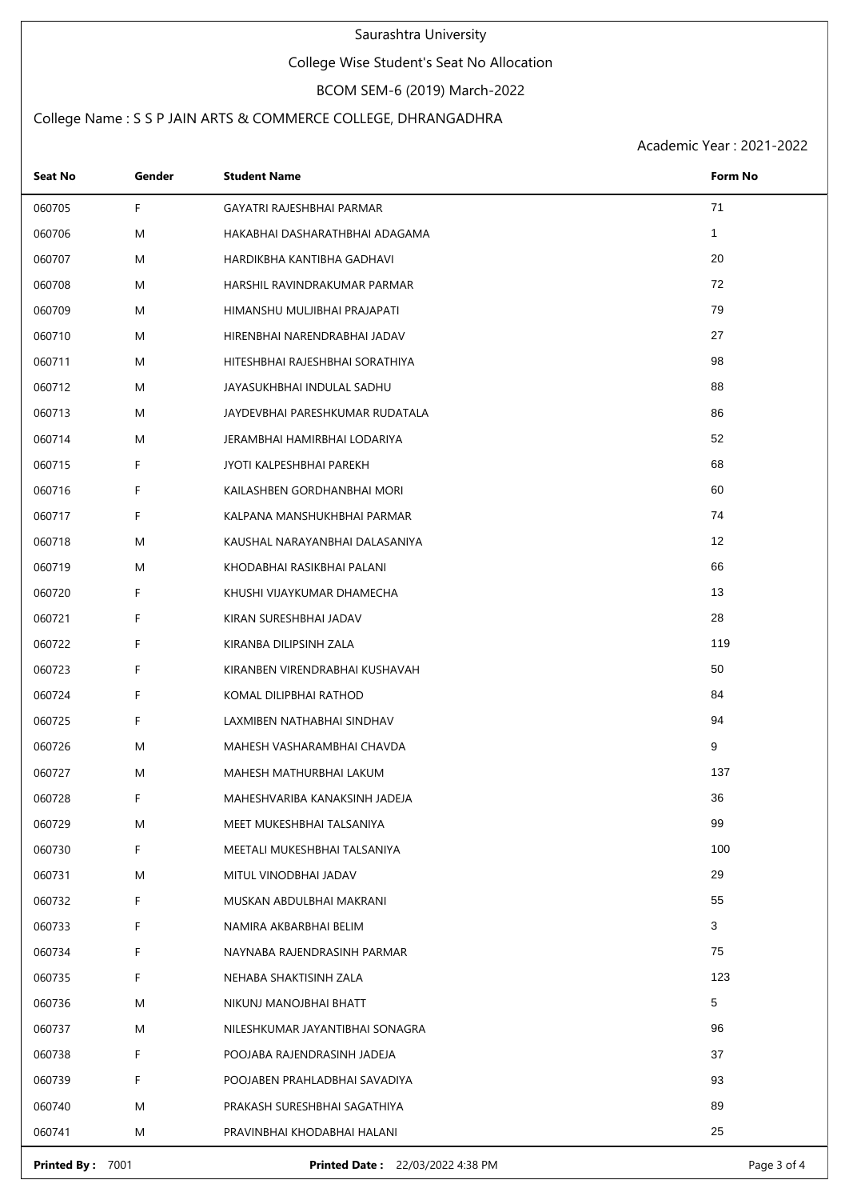## College Wise Student's Seat No Allocation

# BCOM SEM-6 (2019) March-2022

## College Name : S S P JAIN ARTS & COMMERCE COLLEGE, DHRANGADHRA

Academic Year : 2021-2022

| Seat No | Gender | <b>Student Name</b>             | Form No      |
|---------|--------|---------------------------------|--------------|
| 060705  | F.     | GAYATRI RAJESHBHAI PARMAR       | 71           |
| 060706  | M      | HAKABHAI DASHARATHBHAI ADAGAMA  | $\mathbf{1}$ |
| 060707  | M      | HARDIKBHA KANTIBHA GADHAVI      | 20           |
| 060708  | M      | HARSHIL RAVINDRAKUMAR PARMAR    | 72           |
| 060709  | M      | HIMANSHU MULJIBHAI PRAJAPATI    | 79           |
| 060710  | M      | HIRENBHAI NARENDRABHAI JADAV    | 27           |
| 060711  | M      | HITESHBHAI RAJESHBHAI SORATHIYA | 98           |
| 060712  | M      | JAYASUKHBHAI INDULAL SADHU      | 88           |
| 060713  | M      | JAYDEVBHAI PARESHKUMAR RUDATALA | 86           |
| 060714  | M      | JERAMBHAI HAMIRBHAI LODARIYA    | 52           |
| 060715  | F      | JYOTI KALPESHBHAI PAREKH        | 68           |
| 060716  | F      | KAILASHBEN GORDHANBHAI MORI     | 60           |
| 060717  | F      | KALPANA MANSHUKHBHAI PARMAR     | 74           |
| 060718  | M      | KAUSHAL NARAYANBHAI DALASANIYA  | 12           |
| 060719  | M      | KHODABHAI RASIKBHAI PALANI      | 66           |
| 060720  | F      | KHUSHI VIJAYKUMAR DHAMECHA      | 13           |
| 060721  | F      | KIRAN SURESHBHAI JADAV          | 28           |
| 060722  | F      | KIRANBA DILIPSINH ZALA          | 119          |
| 060723  | F      | KIRANBEN VIRENDRABHAI KUSHAVAH  | 50           |
| 060724  | F      | KOMAL DILIPBHAI RATHOD          | 84           |
| 060725  | F      | LAXMIBEN NATHABHAI SINDHAV      | 94           |
| 060726  | M      | MAHESH VASHARAMBHAI CHAVDA      | 9            |
| 060727  | M      | MAHESH MATHURBHAI LAKUM         | 137          |
| 060728  | F      | MAHESHVARIBA KANAKSINH JADEJA   | 36           |
| 060729  | M      | MEET MUKESHBHAI TALSANIYA       | 99           |
| 060730  | F      | MEETALI MUKESHBHAI TALSANIYA    | 100          |
| 060731  | M      | MITUL VINODBHAI JADAV           | 29           |
| 060732  | F      | MUSKAN ABDULBHAI MAKRANI        | 55           |
| 060733  | F      | NAMIRA AKBARBHAI BELIM          | 3            |
| 060734  | F      | NAYNABA RAJENDRASINH PARMAR     | 75           |
| 060735  | F      | NEHABA SHAKTISINH ZALA          | 123          |
| 060736  | M      | NIKUNJ MANOJBHAI BHATT          | 5            |
| 060737  | M      | NILESHKUMAR JAYANTIBHAI SONAGRA | 96           |
| 060738  | F      | POOJABA RAJENDRASINH JADEJA     | 37           |
| 060739  | F      | POOJABEN PRAHLADBHAI SAVADIYA   | 93           |
| 060740  | M      | PRAKASH SURESHBHAI SAGATHIYA    | 89           |
| 060741  | M      | PRAVINBHAI KHODABHAI HALANI     | 25           |

**Printed By :** 7001 **Printed Date :** 22/03/2022 4:38 PM **Page 3 of 4** Page 3 of 4